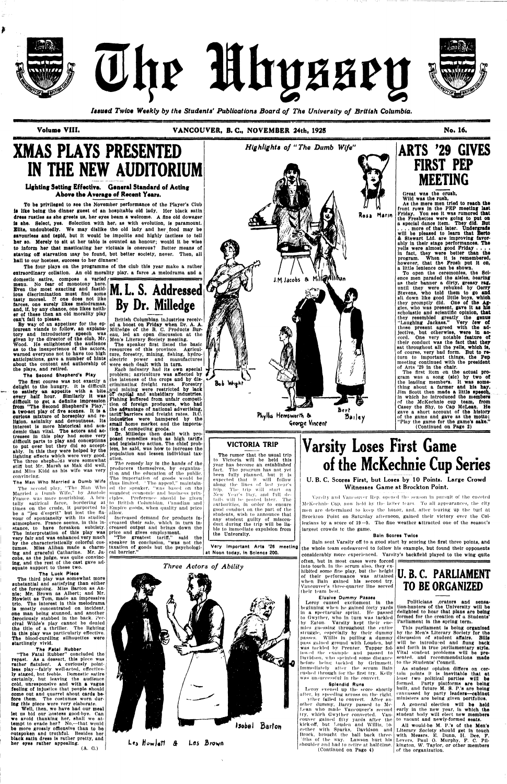

The Mhyssey



*Issued Twice Weekly by the Students' Publications Board of The University of British Columbia.* 

asses

**Volume VIII. VANCOUVER, B. C, NOVEMBER 24th, 192S** 

— — \* *•-* - — - • •

**No. 16.** 

# **XMAS PLAYS PRESENTED IN THE NEW AUDITORIUM**

## **Lighting Setting Effective. General Standard of Acting Above the Average of Recent Years.**

The four plays on the programme of the club this year make a rather extraordinary collation. An old morality play, a farce ,a melodrama and a

To be privileged to see the November performance ot tho Player's Club is like being the dinner guest of an hospitable old lady. Her black satin dress rustles as she greets us, her eyes beam a welcome. A fine old dowager Is she. Select, yes. Selection with her, aa with evolution, Is paramount. Elite, undoubtedly. We may dislike tho old lady and her food may be savourless and tepid, but It would be Impolite and highly tactless to tell her so. Merely to sit at her table is counted an honour; would it be wise to inform her that masticating her victuals is onerous? Better means of staving off starvation may be found, but better society, never. Then, all hall to our hostess, success to her dinners!

domestic satire, compose a varied menu. No fear of monotony here. Even the most exacting and fastidious discrimination must And some tasty morsel. *It* one does not like farces, ono surely likes melodramas, and, if, by any chance, one likes neither of these then an old morality play can't fall to please.

By way of an appetizer for the epicurean viands to follow, an explanatory and Introductory speech was given by the director of the club, Mr. Men's Literary Society meeting. Wood. He enlightened the audience as to the Inexperience of the actors, warned everyone not to have too high anticipations, gave a number of hints about the content and authorship ot the plays, and retired.

#### **The Second 8hepherd'e Play**

The third play was somewhat more substantial and satisfying than either of the foregoing. Miss Barton as Annie; Mr. Brown as Albert; and Mr. Howlett as Tom, made an Impressive trio. The interest In this melodrama is mostly concentrated on incident, one man being stunned, and another ferociously stabbed in the back, Perclval Wilde's play cannot he denied the title of a thriller. The lighting In this play was particularly effective. The blood-curdling silhouettes were startlingly vivid.

Well, then, wo have had our meal let us bid our hostess good bye. Can we avoid thanking her, shall we attempt to evade her? No,—that would be more grossly officuative than to be outspoken and truthful. Besides her black satin dress Is rather pretty, and her eyes rather appealing.  $(A, G.)$ 

The first course was not exactly a delight to the hungry. It Is difficult to satisfy an appetite with a bite every half hour. Similarly it was difficult to get a definite Impression from "The Second Shepherd's Play," a two-act play of five scenes. It is a curious mixture ot horseplay and religion, asininity and devoutness. Its Interest is more historical and academic than vital. The actors and actresses In this play had some very difficult parts to play and conceptions to put over but they did so acceptably. In this they were helped by the lighting effects which were very good. The three shepholds were somewhat stiff but Mr. Marsh as Mak did well, and Mias Kidd as his wife was very convincing.

The Man Who Married a Dumb Wife

Dr. Milledge then dealt with proposed remedies such as high tariffs and legislative action. The chief problem, he said, was how to Increase the population and lessen individual taxation.

The Hccond play, "The Man 'Who Married a Dumb Wife," by Anatole France, was more nourishing. A bru-ciples. Preference should be given tally satirical farce, bordering at times on the crude, it. purported to be a "jeu d'eaprlt" but lost the flavour of spontaneity with its studied atmosphere. France seems, In this instance, to have forsaken subtlety. The interpretation of this play was price and gives employment. very fair and was enhanced very much by the characteristically colorful costumes. Miss Alihan made a charming and graceful Catharine. Mr. Jacobs, as the judge, was quite convincing, and the rest of the cast gave adequate support to these two.

The remedy lay in the hands of the producers themselves, by organization and the education of tho public. The Importation of goods would be thus limited. ' The appeal," maintained the speaker, "was based on tho soundest economic and business printo British Columbian, Canadian and Kmpire goods, when quality and price allow.

#### The Luck Piece

#### The Fatal Rubber<sup>|</sup>

"The Fatal Rubber" concluded tho repast. As a dessert, this piece was rather flatulent. A curiously pointless play—fairly well-acted, effectively staged, but feeble. Domestic satire certainly, but leaving the audience cold, unresponsive and with a vague feeling of injustice that people should come out and quarrel about cards before them. The costumes worn during this pleca wero very elaborate.

Varsity Loses First Game of the McKechnie Cup Series U. B. C. Scores First, but Loses by 10 Points. Large Crowd



British Columbian industries received a boost on Friday when Dr. A. A. Milledge of the B. C. Products Bureau, led an open discussion at the

The speaker first listed the basic resources of this province. Agriculture, forestry, mining, fishing, hydroelectric power nnd manufactures were each dealt with In turn.

Each industry had its own special problem; agriculture was affected by the lateness of tho crops and by discriminating freight rates. Forestry and mining were restricted by lack "ST Capital and "subsidiary industries, Fishing suffered from unfair competition of foreign producers, who had the advantage of national advertising, tarlft'barrlors and freight rates. B.C. industries were hampered by the small home market and the importation of competing goods.

> Leroy caused excitement in the beginning when he gained forty yards in a spectacular sprint. He passed to Gwyther, who In turn was tackled by Eaton Varsity kept their enemies guessing throughout the entire struggle, especially by their dummy passes. Willis in pulling a dummy pass gained ground with Louden, but was tackled by I'renter. Tupper followed the example and passed to Davidson, who sprinted some distance before being tinkled hy Orlnunett. Immediately after the scrum Bain rushed through for the first try. Kelly was unsuccessful In the convert.

yther failed to convert. After anot her dummy, Harry passed to Mc-Lean who made Vancouver's second try, which Gwyther converted. Vancouver gained fifty yards after the kick-off, but Louden and Willis, together with Sparks, Davidson and Brock, brought the ball back threerths of the way. Lawson hurt his shoulder nnd had to retire at half-time. (Continued on Page 4)

This parliament is being organized hy the Men's Literary Society for the discussion of student affairs. Bills will be introduced and flung back and forth in true parliamentary style. Vital student problems will be presented, and recommendations made to the Students' Council.

Increased demand for products increased their sale, which in turn increased output and brings down the

"The greatest tariff," said the speaker in conclusion, "was not the taxation of goods but tho psychological barrier."



**ARTS '29 GIVES** 

**FIRST PEP** 

**MEETING** 

#### Great wns the crush, Wild was the rush, As the mere men tried to reach the front rows In the PEP meeting last

Friday. You see it was rumored **that**  the Freshettes were going to put on a special dance Item. They did. But . . . . more of that later. **Undergrads**  will be pleased to learn that Berto & Stewart Ltd. are Improving favorably In their stage performances, The yells were almost good Friday ... . In fact, they were better than the program. When it Is remembered, however, that the Frosh put it on, a little lenience can be shown.

To open the ceremonies, the Science men paraded the aisles, bearing as their banner a dirty, greasy **rag,**  until they were rebuked by Gerry Stevens, who told them to go and sit down like good little boys, which they promptly did. One of the Aggles, who was present, gave it as his scholastic and scientific opinion, that they resembled greatly the genus "Laughing Jackass." Very few of those present agreed with the ad-Jectlve, but otherwise, were in accord. One very notable feature ot their conduct was the fact that they sat throughout all the yells, which is, of course, very bad form. But to return to important things, the Pep meeting continued with the president of Arts '29 In the chair.

The first Item on the actual program was a song (sic) by two ot the leading members. It was something about a farmer and his hay. Jim Scott then made a little speech, in which he Introduced the members of tho McKechnie cup team, from Casey the Shy, to Cap McLean. He gave a short account of the history of the game and gave as the motto: "Play the game for the game's sake." (Continued on Page 2)

# **VICTORIA TRIP**

The rumor that the usual trip to Victoria will he held this year has become an established fact. The program has not yet been fully planned, but It Is expected that It. will follow along the lines of last year's trip. The trip will start, on New Year's Day, and full details will be posted later. The authorities, in order to ensure good conduct on the part of the students, wish to announce that any student guilty of misconduct, during the trip will be liable to immediate expulsion from the University.

Very Important Arts '26 meeting at Noon today, in Science 200.

#### *Three Actors of Ability*



#### Witnesses Game at Brockton Point.

Varsity and Vancouver Rep. opened the season in pursuit of the coveted McKechnie Cup, now held by the latter team. To all appearances, the city men are determined to keep the honor, and, after tearing up the turf at Brockton Point on Saturday afternoon, gained their victory over the Collegians by a score of 19—9. The fine weather attracted one of the season's largest crowds tc the game.

#### Bain Scores Twice

Bain sent Varsity off to a good start by scoring the first three points, and the whole team endeavored to follow his example, but found their opponents considerably more experienced. Varsity's backfleld played to the wing quite

often, but in most cases were forced Into touch. In the scrum also, they exhibited some fine play, but the height<br>of their performance was attained when Bain gained his second try. Vancouver's three-quarter line served **110 BE ORGANIZED** 

# **U.B.C. PARLIAMENT** *TO BE ORGANIZED*

#### Elusive Dummy Passes

#### Splendid Runs

Leroy evened up the score shortly lifter, by speeding across on the right,

Politicians .orators and sensation-hunters of the University will be delighted to hoar that plans are being formed for the creation of a Students' Parliament in the spring term.

As student opinion differs on certain points It is Inevitable that at least two political parties will be formed. Party platforms are being built, and future M. S. P.'a are being canvassed hy party leaders—cabinet ministers are being given portfolios.

A general election will be held early in the new year, in which the student body will elect new members to vacant and newly-formed seats.

All would-be M. P.'s of the Men's Literary Society should get In touch with Messrs. E. Dunn, H. Dee, F. Lovers, Paul O, Murphy, F, C. Pllklngton, W. Taylor, or other members of the organization.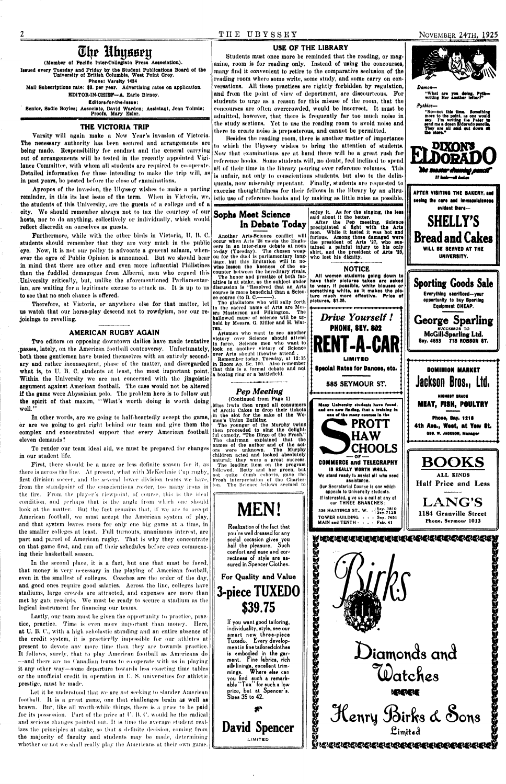# **QH|? Ibjj80?y**

(Member ot Pacific Inter-Collegiate Press Association).

Issued every Tuesday and Friday by the Student Publications Board of the University of British Columbia, West Point Orey.

**Phone: Varsity 1434**  Mall Subscriptions rate: \$3. per year. Advertising rates on application. EDITOR-IN-CHIEF—A. Earle Birney.

**Edltore-for-the-leeue:**  Senior, Sadie Boyles; Associate, David Warden; Assistant, Jean Tolmie; Proofe, Mary Esler.

Varsity will again make a New Year's invasion of Victoria. The necessary authority has been secured and arrangements are being made. Responsibility for conduct and the general carrying out of arrangements will be tested in the recently appointed Vigilance Committee, with whom all students are required to co-operate. Detailed information for those intending to make the trip will, as in past years, bo posted before the close of examinations.

Apropos of tho invasion, the Ubyssoy wishes to make a parting reminder, in this its last issue of the term. When in Victoria, we, the students of this University, are the guests of a college and of a city. Wo should remember always not to tux the courtesy of our hosts, nor to do anything, collectively or individually, which would reflect discredit on ourselves as guests.

Furthermore, while with the other birds in Victoria, U. B. C. students should remember that they are very much in the public eye. Now, it is not our policy to advocate a general salaam, whenever the ogre of Public Opinion is announced. But we should bear in mind that there nro other and even more influential Philistines than the fuddled demagogue from Alberni, men who regard this University critically, but, unlike the aforementioned Parliamentarian, are waiting for a legitimate excuse to attack us. It is up to us to see that no such chance is offered.

### **THE VICTORIA TRIP**

Therefore, at Victoria, or anywhere else for that matter, let us watch that our horse-play descend not to rowdyism, nor our rejoicings to revelling.

### **AMERICAN RUGBY AGAIN**

Two editors on opposing downtown dailies have made tentative passes, lately, on the American football controversy. Unfortunately, both these gentlemen have busied themselves with an entirely secondary and rather inconsequent, phase of the matter, and disregarded what is, to U. B. C. students at least, the most important point. Within the University we are not concerned with the jingoistic argument against American football. Tho case would not be altered if the game were Abyssinian polo. The problem here is to follow out the spirit of that maxim, "What's worth doing is worth doing well."

In other words, are we going to half-heartedly accept the game, or are we going to get right behind our team and give them the complex and concentrated support that every American football eleven demands?

To render our team ideal aid, we must be prepared for changes in our student life.

The gladiators who will sally forth in the sacred name of Arts are Mes-<br>ars Masterson and Pilkington. The ars Masterson and Pilkington. hallowed cause of science will be upheld by Messrs. G. Miller and H. Warren.

The younger of the Murphy twins then proceeded to sing the delightful comedy, "The Dirge of tho Frosh." The chairman explained that the names of the author and of the act-<br>ors were unknown. The Murphy ors were unknown. children acted and looked absolutely

The leading item on the program followed. Betty and her green, but not quite dumb cohorts, gave the Frosh Interpretation of the Charleston. The Science fellows seemed to

First, there should be a more or less definite season for it, as there is across the line. At present, what with McKechnie Cup rugby, first division soccer, and the several lower division teams we have, from the standpoint of the conscientious rooter, too many irons in the fire. From the player's viewpoint, of course, this is the ideal condition, and perhaps that is the angle from which one should look at the matter. But the fact remains that, if we are to accept American football, we must accept the American system of play, and that system leaves room for only one big game at a time, in the smaller colleges at least. Full turnouts, unanimous interest, are part and parcel of American rugby. That is why they concentrate on that game first, and run off their schedules before cveu commencing their basketball season. In the second place, it is a fact, but one that must be faced, that money is very necessary in the playing of American football, even in the smallest of colleges. Coaches are the order of the day, and good ones require good salaries. Across the line, colleges have stadiums, large crowds are attracted, and expenses are more than met by gate receipts. We must be ready to secure a stadium as the logical instrument for financing our teams. Lastly, our team must be given the opportunity to practice, practice, practice. Time is even more important than money. Here, at U. B. C., with a high scholastic standing and an entire absence of the credit system, it is practicelly impossible for our athletes at present to devote any more time than they are towards practice. It follows, surely, that to play American football as Americans do —and there are no Canadian teams to co-operate with us in playing it any other way—some departure towards less exact ing time tables or the unofficial credit in operation in  $U$ . S. universities for athletic prestige, must he made. Let it be understood that we are not seeking to slander American football. It is a great game, one that challenges brain as well as brawn. But, like all worth-while things, there is a price to be paid for its possession. Part of the price at I'. B. C. would he the radical and serious changes pointed out. It is time the average student realizes the principles at stake, so that a definite decision, coming from the majority of faculty and students may he made, determining whether or not we shall really play the Americans at their own game.

## USE OF THE LIBRARY

*Damon—*  "What are you deing, Pyth---<br>writing Her another letter?"

*Pythias—*  "No—not this time. Something<br>more to the point, me one would<br>say. I'm writing the Pater to<br>send me a dosen Eldorado pencils,

Students must once more be reminded that the reading, or magazine, room is for reading only. Instead of using the concourses, many find it convenient to retire to the comparative seclusion of the reading room where some write, some study, and some carry on conversations. All these practices are rightly forbidden by regulation, and from the point of view of deportment, are discourteous. For students to urge as a reason for this misuse of the room, that the concourses are often overcrowded, would be incorrect. It must be admitted, however, that there is frequently far too much noise in the study sections. Yet to use the reading room to avoid noise and there to create noise is preposterous, and cannot be permitted,

Besides tho rending room, there is another matter of importance to which the Ubyssey wishes to bring tho attention of students. Now that examinations are at hand there wilt bo a great rush for reference books. Home students will, no doubt, feci inclined to spend all of their time in the library pouring over reference volumes. This is unfair, not only to conscientious students, but also to tho delinquents, now miserably repentant. Finally, students are requested to exorcise thoughtfulness for their fellows in the library by an ultruistie use of reference books and by making as little noise as possible.

# **Sophi Meat Science In Debate Today**

Another Arts-Sclouce conflict will occur when Arts '28 meets the Engineers In an Inter-clans debate at noon to-day (Tuenday). The chosen weapon for the duel la parliamentary language, but this limitation will In nowise lessen the keeness of the encounter between the hereditary rivals.

The honor and prestige of both faculties Is at stake, as the subject under discussion Is "Resolved that an Arts course Is more beneficial than a Science course (to  $B. C$ .

Artamen who want to see another victory over Science should attend In force. Science men who want to look on another victory of Science over Arts should likewise attend . Remember today, Tuesday, at 12:15 In Room Ap. Sc. 100. Also remember that this Is a formal debate and not

# *Pep Meeting*

Miss Irwin then urged all consumers of Arctic Cakes to drop their tickets In the slot for the sake ot the Women's Union Building.





# **NOTICE**

**All women etudente going down to have their ploturee taken are aeked to wear, If possible, white blousee or something white, ae It makes the ploture much more effeotlve. Price of pictures, \$1.26,** 

> *Drive Yourself !*  **PHONE, SEY. 802**







**Sporting Goods Sale Everything sacrificed—your opportunity to buy Sporting**  Equipment CHEAP. **George Sparling**  SUCCESSOR<sup>T</sup>O **McGilLSparllng Ltd. 8ey. 4683 718 ROBSON ST.**